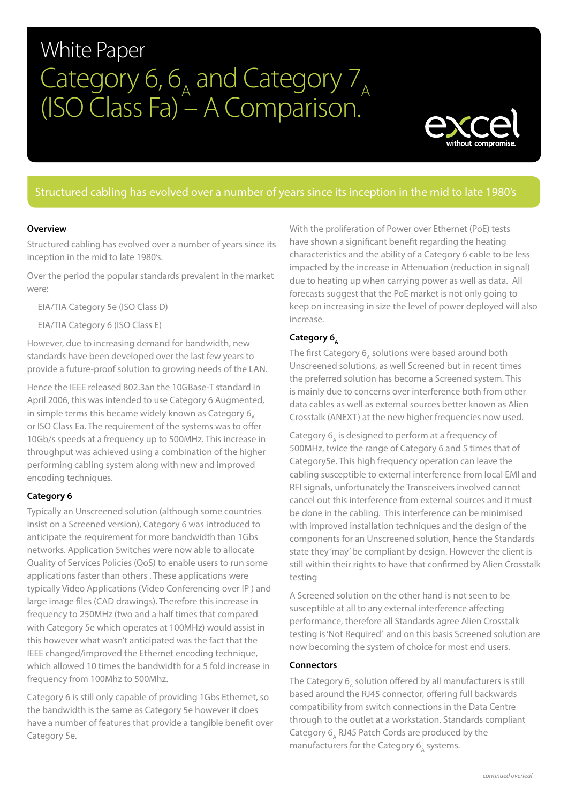# White Paper Category 6,  $6_A$  and Category 7<sub>A</sub> (ISO Class Fa) – A Comparison.



# Structured cabling has evolved over a number of years since its inception in the mid to late 1980's

#### **Overview**

Structured cabling has evolved over a number of years since its inception in the mid to late 1980's.

Over the period the popular standards prevalent in the market were:

EIA/TIA Category 5e (ISO Class D)

EIA/TIA Category 6 (ISO Class E)

However, due to increasing demand for bandwidth, new standards have been developed over the last few years to provide a future-proof solution to growing needs of the LAN.

Hence the IEEE released 802.3an the 10GBase-T standard in April 2006, this was intended to use Category 6 Augmented, in simple terms this became widely known as Category  $6<sub>a</sub>$ or ISO Class Ea. The requirement of the systems was to offer 10Gb/s speeds at a frequency up to 500MHz. This increase in throughput was achieved using a combination of the higher performing cabling system along with new and improved encoding techniques.

#### **Category 6**

Typically an Unscreened solution (although some countries insist on a Screened version), Category 6 was introduced to anticipate the requirement for more bandwidth than 1Gbs networks. Application Switches were now able to allocate Quality of Services Policies (QoS) to enable users to run some applications faster than others . These applications were typically Video Applications (Video Conferencing over IP ) and large image files (CAD drawings). Therefore this increase in frequency to 250MHz (two and a half times that compared with Category 5e which operates at 100MHz) would assist in this however what wasn't anticipated was the fact that the IEEE changed/improved the Ethernet encoding technique, which allowed 10 times the bandwidth for a 5 fold increase in frequency from 100Mhz to 500Mhz.

Category 6 is still only capable of providing 1Gbs Ethernet, so the bandwidth is the same as Category 5e however it does have a number of features that provide a tangible benefit over Category 5e.

With the proliferation of Power over Ethernet (PoE) tests have shown a significant benefit regarding the heating characteristics and the ability of a Category 6 cable to be less impacted by the increase in Attenuation (reduction in signal) due to heating up when carrying power as well as data. All forecasts suggest that the PoE market is not only going to keep on increasing in size the level of power deployed will also increase.

## Category 6,

The first Category  $6_a$  solutions were based around both Unscreened solutions, as well Screened but in recent times the preferred solution has become a Screened system. This is mainly due to concerns over interference both from other data cables as well as external sources better known as Alien Crosstalk (ANEXT) at the new higher frequencies now used.

Category 6, is designed to perform at a frequency of 500MHz, twice the range of Category 6 and 5 times that of Category5e. This high frequency operation can leave the cabling susceptible to external interference from local EMI and RFI signals, unfortunately the Transceivers involved cannot cancel out this interference from external sources and it must be done in the cabling. This interference can be minimised with improved installation techniques and the design of the components for an Unscreened solution, hence the Standards state they 'may' be compliant by design. However the client is still within their rights to have that confirmed by Alien Crosstalk testing

A Screened solution on the other hand is not seen to be susceptible at all to any external interference affecting performance, therefore all Standards agree Alien Crosstalk testing is 'Not Required' and on this basis Screened solution are now becoming the system of choice for most end users.

#### **Connectors**

The Category  $6$ , solution offered by all manufacturers is still based around the RJ45 connector, offering full backwards compatibility from switch connections in the Data Centre through to the outlet at a workstation. Standards compliant Category 6, RJ45 Patch Cords are produced by the manufacturers for the Category  $6$ , systems.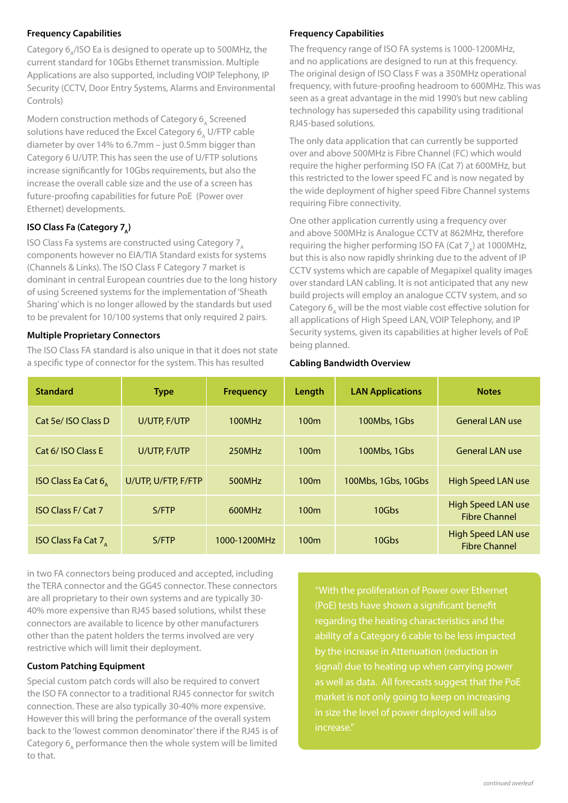## **Frequency Capabilities**

Category 6<sub>^</sub>/ISO Ea is designed to operate up to 500MHz, the current standard for 10Gbs Ethernet transmission. Multiple Applications are also supported, including VOIP Telephony, IP Security (CCTV, Door Entry Systems, Alarms and Environmental Controls)

Modern construction methods of Category  $6_A$  Screened solutions have reduced the Excel Category  $6_A$  U/FTP cable diameter by over 14% to 6.7mm – just 0.5mm bigger than Category 6 U/UTP. This has seen the use of U/FTP solutions increase significantly for 10Gbs requirements, but also the increase the overall cable size and the use of a screen has future-proofing capabilities for future PoE (Power over Ethernet) developments.

## **ISO Class Fa (Category 7,)**

ISO Class Fa systems are constructed using Category  $7<sub>a</sub>$ components however no EIA/TIA Standard exists for systems (Channels & Links). The ISO Class F Category 7 market is dominant in central European countries due to the long history of using Screened systems for the implementation of 'Sheath Sharing' which is no longer allowed by the standards but used to be prevalent for 10/100 systems that only required 2 pairs.

#### **Multiple Proprietary Connectors**

The ISO Class FA standard is also unique in that it does not state a specific type of connector for the system. This has resulted

### **Frequency Capabilities**

The frequency range of ISO FA systems is 1000-1200MHz, and no applications are designed to run at this frequency. The original design of ISO Class F was a 350MHz operational frequency, with future-proofing headroom to 600MHz. This was seen as a great advantage in the mid 1990's but new cabling technology has superseded this capability using traditional RJ45-based solutions.

The only data application that can currently be supported over and above 500MHz is Fibre Channel (FC) which would require the higher performing ISO FA (Cat 7) at 600MHz, but this restricted to the lower speed FC and is now negated by the wide deployment of higher speed Fibre Channel systems requiring Fibre connectivity.

One other application currently using a frequency over and above 500MHz is Analogue CCTV at 862MHz, therefore requiring the higher performing ISO FA (Cat  $7_A$ ) at 1000MHz, but this is also now rapidly shrinking due to the advent of IP CCTV systems which are capable of Megapixel quality images over standard LAN cabling. It is not anticipated that any new build projects will employ an analogue CCTV system, and so Category 6, will be the most viable cost effective solution for all applications of High Speed LAN, VOIP Telephony, and IP Security systems, given its capabilities at higher levels of PoE being planned.

#### **Cabling Bandwidth Overview**

| <b>Standard</b>                              | <b>Type</b>         | Length<br><b>Frequency</b> |                  | <b>LAN Applications</b> | <b>Notes</b>                                      |  |  |
|----------------------------------------------|---------------------|----------------------------|------------------|-------------------------|---------------------------------------------------|--|--|
| Cat 5e/ ISO Class D                          | U/UTP, F/UTP        | 100MHz                     | 100 <sub>m</sub> | 100Mbs, 1Gbs            | <b>General LAN use</b>                            |  |  |
| Cat 6/ ISO Class E                           | U/UTP, F/UTP        | 250MHz                     | 100 <sub>m</sub> | 100Mbs, 1Gbs            | <b>General LAN use</b>                            |  |  |
| ISO Class Ea Cat $6_{\scriptscriptstyle{A}}$ | U/UTP, U/FTP, F/FTP | 100 <sub>m</sub><br>500MHz |                  | 100Mbs, 1Gbs, 10Gbs     | High Speed LAN use                                |  |  |
| <b>ISO Class F/ Cat 7</b>                    | S/FTP               | 600MHz                     | 100 <sub>m</sub> | 10Gbs                   | High Speed LAN use<br><b>Fibre Channel</b>        |  |  |
| <b>ISO Class Fa Cat 7</b>                    | S/FTP               | 1000-1200MHz               | 100 <sub>m</sub> | 10Gbs                   | <b>High Speed LAN use</b><br><b>Fibre Channel</b> |  |  |

in two FA connectors being produced and accepted, including the TERA connector and the GG45 connector. These connectors are all proprietary to their own systems and are typically 30- 40% more expensive than RJ45 based solutions, whilst these connectors are available to licence by other manufacturers other than the patent holders the terms involved are very restrictive which will limit their deployment.

#### **Custom Patching Equipment**

Special custom patch cords will also be required to convert the ISO FA connector to a traditional RJ45 connector for switch connection. These are also typically 30-40% more expensive. However this will bring the performance of the overall system back to the 'lowest common denominator' there if the RJ45 is of Category 6, performance then the whole system will be limited to that.

"With the proliferation of Power over Ethernet (PoE) tests have shown a significant benefit regarding the heating characteristics and the ability of a Category 6 cable to be less impacted signal) due to heating up when carrying power as well as data. All forecasts suggest that the PoE in size the level of power deployed will also increase."